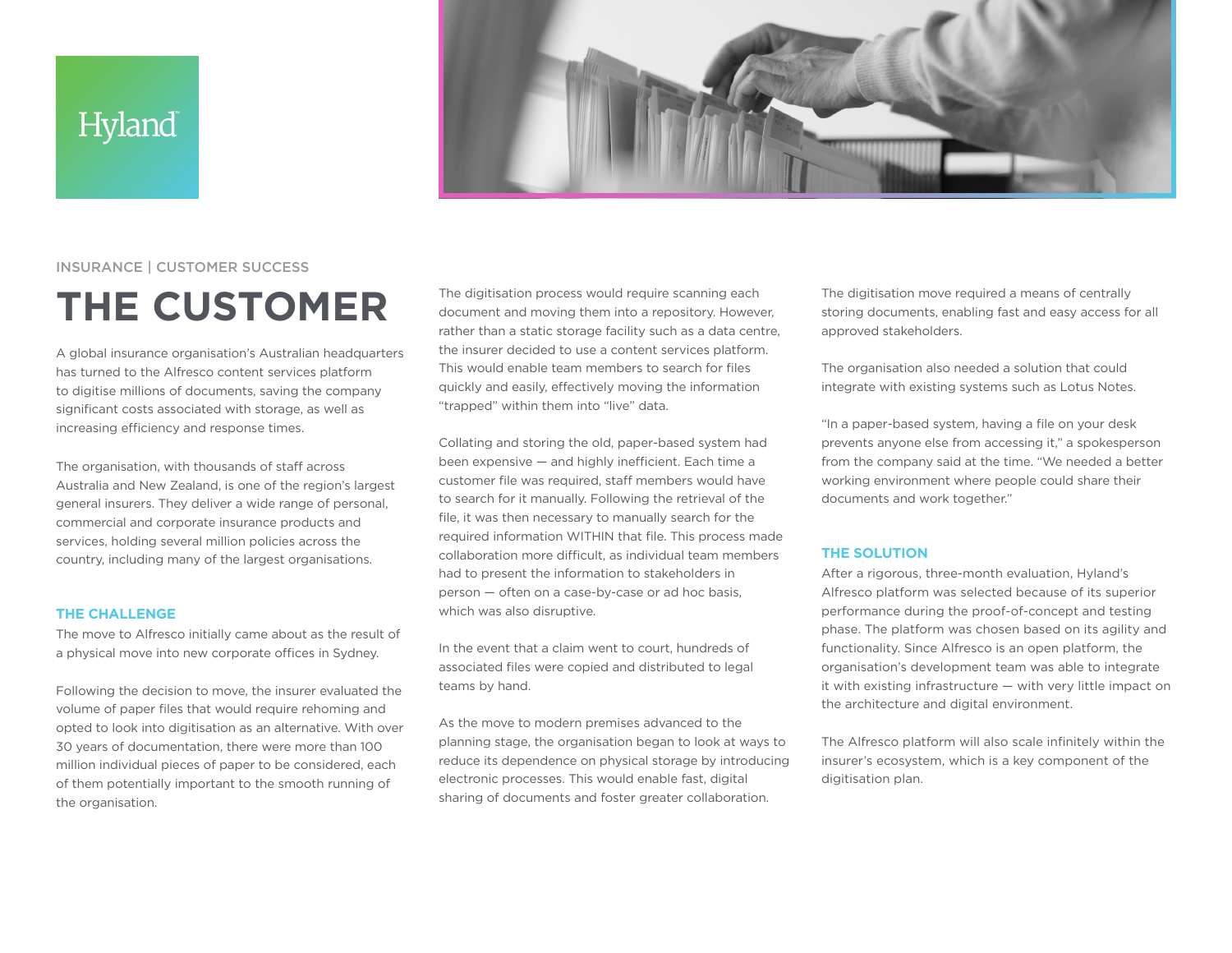## **Hyland**



### INSURANCE | CUSTOMER SUCCESS

# **THE CUSTOMER**

A global insurance organisation's Australian headquarters has turned to the Alfresco content services platform to digitise millions of documents, saving the company significant costs associated with storage, as well as increasing efficiency and response times.

The organisation, with thousands of staff across Australia and New Zealand, is one of the region's largest general insurers. They deliver a wide range of personal, commercial and corporate insurance products and services, holding several million policies across the country, including many of the largest organisations.

#### **THE CHALLENGE**

The move to Alfresco initially came about as the result of a physical move into new corporate offices in Sydney.

Following the decision to move, the insurer evaluated the volume of paper files that would require rehoming and opted to look into digitisation as an alternative. With over 30 years of documentation, there were more than 100 million individual pieces of paper to be considered, each of them potentially important to the smooth running of the organisation.

The digitisation process would require scanning each document and moving them into a repository. However, rather than a static storage facility such as a data centre, the insurer decided to use a content services platform. This would enable team members to search for files quickly and easily, effectively moving the information "trapped" within them into "live" data.

Collating and storing the old, paper-based system had been expensive — and highly inefficient. Each time a customer file was required, staff members would have to search for it manually. Following the retrieval of the file, it was then necessary to manually search for the required information WITHIN that file. This process made collaboration more difficult, as individual team members had to present the information to stakeholders in person — often on a case-by-case or ad hoc basis, which was also disruptive.

In the event that a claim went to court, hundreds of associated files were copied and distributed to legal teams by hand.

As the move to modern premises advanced to the planning stage, the organisation began to look at ways to reduce its dependence on physical storage by introducing electronic processes. This would enable fast, digital sharing of documents and foster greater collaboration.

The digitisation move required a means of centrally storing documents, enabling fast and easy access for all approved stakeholders.

The organisation also needed a solution that could integrate with existing systems such as Lotus Notes.

"In a paper-based system, having a file on your desk prevents anyone else from accessing it," a spokesperson from the company said at the time. "We needed a better working environment where people could share their documents and work together."

#### **THE SOLUTION**

After a rigorous, three-month evaluation, Hyland's Alfresco platform was selected because of its superior performance during the proof-of-concept and testing phase. The platform was chosen based on its agility and functionality. Since Alfresco is an open platform, the organisation's development team was able to integrate it with existing infrastructure — with very little impact on the architecture and digital environment.

The Alfresco platform will also scale infinitely within the insurer's ecosystem, which is a key component of the digitisation plan.